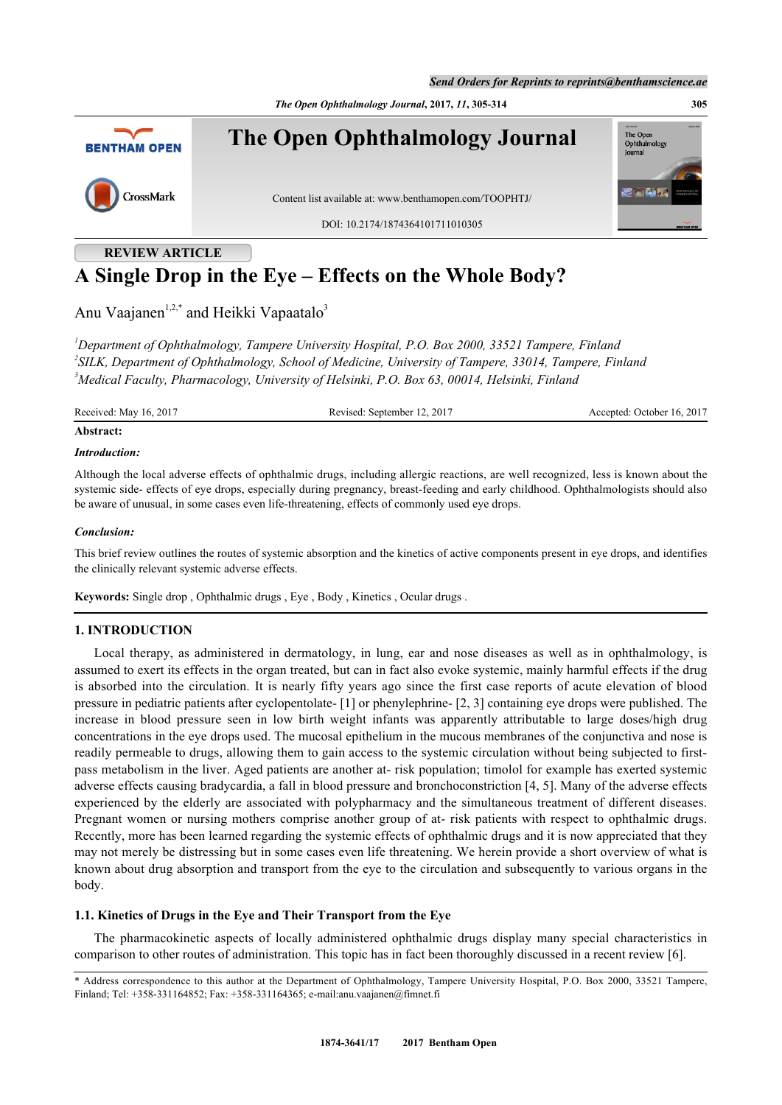*Send Orders for Reprints to reprints@benthamscience.ae*

*The Open Ophthalmology Journal***, 2017,** *11***, 305-314 305**



# **A Single Drop in the Eye – Effects on the Whole Body?**

Anu Vaajanen<sup>[1,](#page-0-0)[2,](#page-0-1)[\\*](#page-0-2)</sup> and Heikki Vapaatalo<sup>[3](#page-0-3)</sup>

<span id="page-0-3"></span><span id="page-0-1"></span><span id="page-0-0"></span>*<sup>1</sup>Department of Ophthalmology, Tampere University Hospital, P.O. Box 2000, 33521 Tampere, Finland 2 SILK, Department of Ophthalmology, School of Medicine, University of Tampere, 33014, Tampere, Finland <sup>3</sup>Medical Faculty, Pharmacology, University of Helsinki, P.O. Box 63, 00014, Helsinki, Finland*

Received: May 16, 2017 Revised: September 12, 2017 Accepted: October 16, 2017

# **Abstract:**

### *Introduction:*

Although the local adverse effects of ophthalmic drugs, including allergic reactions, are well recognized, less is known about the systemic side- effects of eye drops, especially during pregnancy, breast-feeding and early childhood. Ophthalmologists should also be aware of unusual, in some cases even life-threatening, effects of commonly used eye drops.

#### *Conclusion:*

This brief review outlines the routes of systemic absorption and the kinetics of active components present in eye drops, and identifies the clinically relevant systemic adverse effects.

**Keywords:** Single drop , Ophthalmic drugs , Eye , Body , Kinetics , Ocular drugs .

# **1. INTRODUCTION**

Local therapy, as administered in dermatology, in lung, ear and nose diseases as well as in ophthalmology, is assumed to exert its effects in the organ treated, but can in fact also evoke systemic, mainly harmful effects if the drug is absorbed into the circulation. It is nearly fifty years ago since the first case reports of acute elevation of blood pressure in pediatric patients after cyclopentolate- [\[1](#page-6-0)] or phenylephrine- [\[2](#page-6-1), [3](#page-6-2)] containing eye drops were published. The increase in blood pressure seen in low birth weight infants was apparently attributable to large doses/high drug concentrations in the eye drops used. The mucosal epithelium in the mucous membranes of the conjunctiva and nose is readily permeable to drugs, allowing them to gain access to the systemic circulation without being subjected to firstpass metabolism in the liver. Aged patients are another at- risk population; timolol for example has exerted systemic adverse effects causing bradycardia, a fall in blood pressure and bronchoconstriction [\[4](#page-7-0), [5](#page-7-1)]. Many of the adverse effects experienced by the elderly are associated with polypharmacy and the simultaneous treatment of different diseases. Pregnant women or nursing mothers comprise another group of at- risk patients with respect to ophthalmic drugs. Recently, more has been learned regarding the systemic effects of ophthalmic drugs and it is now appreciated that they may not merely be distressing but in some cases even life threatening. We herein provide a short overview of what is known about drug absorption and transport from the eye to the circulation and subsequently to various organs in the body.

### **1.1. Kinetics of Drugs in the Eye and Their Transport from the Eye**

The pharmacokinetic aspects of locally administered ophthalmic drugs display many special characteristics in comparison to other routes of administration. This topic has in fact been thoroughly discussed in a recent review [[6\]](#page-7-2).

<span id="page-0-2"></span><sup>\*</sup> Address correspondence to this author at the Department of Ophthalmology, Tampere University Hospital, P.O. Box 2000, 33521 Tampere, Finland; Tel: +358-331164852; Fax: +358-331164365; e-mail:[anu.vaajanen@fimnet.fi](mailto:anu.vaajanen@fimnet.fi)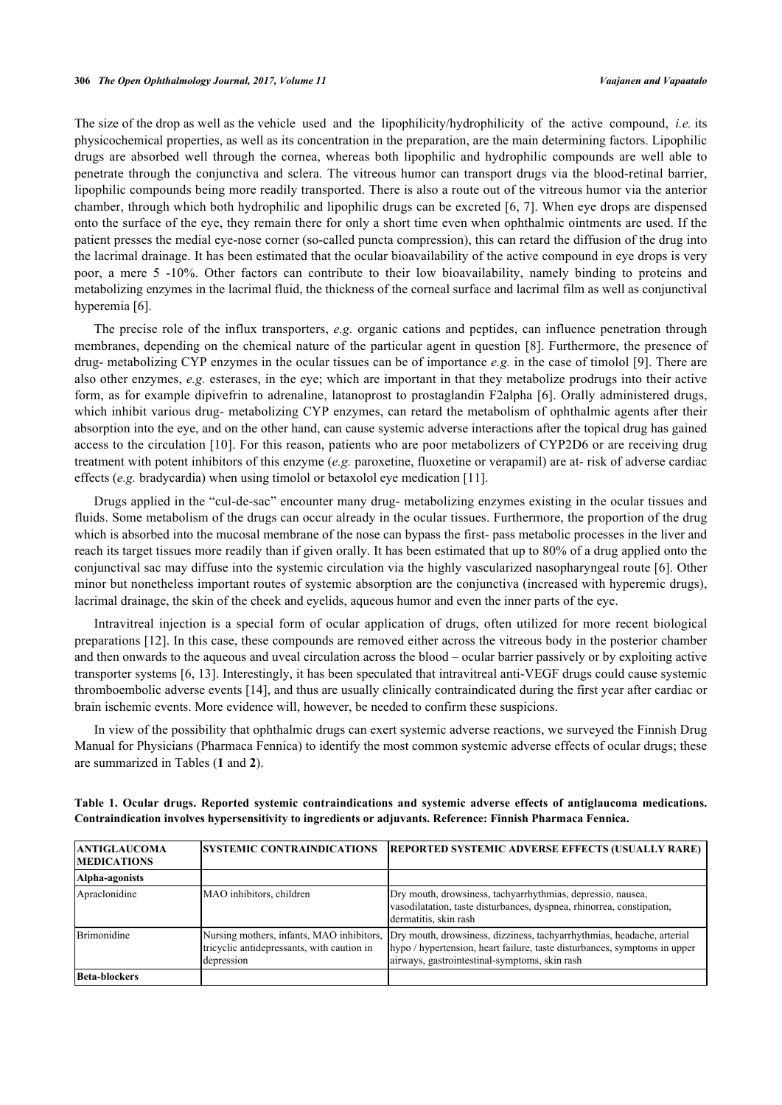The size of the drop as well as the vehicle used and the lipophilicity/hydrophilicity of the active compound, *i.e.* its physicochemical properties, as well as its concentration in the preparation, are the main determining factors. Lipophilic drugs are absorbed well through the cornea, whereas both lipophilic and hydrophilic compounds are well able to penetrate through the conjunctiva and sclera. The vitreous humor can transport drugs via the blood-retinal barrier, lipophilic compounds being more readily transported. There is also a route out of the vitreous humor via the anterior chamber, through which both hydrophilic and lipophilic drugs can be excreted [[6](#page-7-2), [7\]](#page-7-3). When eye drops are dispensed onto the surface of the eye, they remain there for only a short time even when ophthalmic ointments are used. If the patient presses the medial eye-nose corner (so-called puncta compression), this can retard the diffusion of the drug into the lacrimal drainage. It has been estimated that the ocular bioavailability of the active compound in eye drops is very poor, a mere 5 -10%. Other factors can contribute to their low bioavailability, namely binding to proteins and metabolizing enzymes in the lacrimal fluid, the thickness of the corneal surface and lacrimal film as well as conjunctival hyperemia [[6\]](#page-7-2).

The precise role of the influx transporters, *e.g.* organic cations and peptides, can influence penetration through membranes, depending on the chemical nature of the particular agent in question [\[8\]](#page-7-4). Furthermore, the presence of drug- metabolizing CYP enzymes in the ocular tissues can be of importance *e.g.* in the case of timolol [[9\]](#page-7-5). There are also other enzymes, *e.g.* esterases, in the eye; which are important in that they metabolize prodrugs into their active form, as for example dipivefrin to adrenaline, latanoprost to prostaglandin F2alpha [[6\]](#page-7-2). Orally administered drugs, which inhibit various drug- metabolizing CYP enzymes, can retard the metabolism of ophthalmic agents after their absorption into the eye, and on the other hand, can cause systemic adverse interactions after the topical drug has gained access to the circulation [\[10](#page-7-6)]. For this reason, patients who are poor metabolizers of CYP2D6 or are receiving drug treatment with potent inhibitors of this enzyme (*e.g.* paroxetine, fluoxetine or verapamil) are at- risk of adverse cardiac effects (*e.g.* bradycardia) when using timolol or betaxolol eye medication [\[11](#page-7-7)].

Drugs applied in the "cul-de-sac" encounter many drug- metabolizing enzymes existing in the ocular tissues and fluids. Some metabolism of the drugs can occur already in the ocular tissues. Furthermore, the proportion of the drug which is absorbed into the mucosal membrane of the nose can bypass the first- pass metabolic processes in the liver and reach its target tissues more readily than if given orally. It has been estimated that up to 80% of a drug applied onto the conjunctival sac may diffuse into the systemic circulation via the highly vascularized nasopharyngeal route [[6\]](#page-7-2). Other minor but nonetheless important routes of systemic absorption are the conjunctiva (increased with hyperemic drugs), lacrimal drainage, the skin of the cheek and eyelids, aqueous humor and even the inner parts of the eye.

Intravitreal injection is a special form of ocular application of drugs, often utilized for more recent biological preparations [\[12](#page-7-8)]. In this case, these compounds are removed either across the vitreous body in the posterior chamber and then onwards to the aqueous and uveal circulation across the blood – ocular barrier passively or by exploiting active transporter systems [[6,](#page-7-2) [13](#page-7-9)]. Interestingly, it has been speculated that intravitreal anti-VEGF drugs could cause systemic thromboembolic adverse events [\[14](#page-7-10)], and thus are usually clinically contraindicated during the first year after cardiac or brain ischemic events. More evidence will, however, be needed to confirm these suspicions.

In view of the possibility that ophthalmic drugs can exert systemic adverse reactions, we surveyed the Finnish Drug Manual for Physicians (Pharmaca Fennica) to identify the most common systemic adverse effects of ocular drugs; these are summarized in Tables (**[1](#page-1-0)** and **[2](#page-2-0)**).

| <b>ANTIGLAUCOMA</b><br><b>MEDICATIONS</b> | <b>SYSTEMIC CONTRAINDICATIONS</b>                                                                     | <b>REPORTED SYSTEMIC ADVERSE EFFECTS (USUALLY RARE)</b>                                                                                                                                              |
|-------------------------------------------|-------------------------------------------------------------------------------------------------------|------------------------------------------------------------------------------------------------------------------------------------------------------------------------------------------------------|
| Alpha-agonists                            |                                                                                                       |                                                                                                                                                                                                      |
| Apraclonidine                             | MAO inhibitors, children                                                                              | Dry mouth, drowsiness, tachyarrhythmias, depressio, nausea,<br>vasodilatation, taste disturbances, dyspnea, rhinorrea, constipation,<br>dermatitis, skin rash                                        |
| Brimonidine                               | Nursing mothers, infants, MAO inhibitors,<br>tricyclic antidepressants, with caution in<br>depression | Dry mouth, drowsiness, dizziness, tachyarrhythmias, headache, arterial<br>hypo / hypertension, heart failure, taste disturbances, symptoms in upper<br>airways, gastrointestinal-symptoms, skin rash |
| Beta-blockers                             |                                                                                                       |                                                                                                                                                                                                      |

<span id="page-1-0"></span>**Table 1. Ocular drugs. Reported systemic contraindications and systemic adverse effects of antiglaucoma medications. Contraindication involves hypersensitivity to ingredients or adjuvants. Reference: Finnish Pharmaca Fennica.**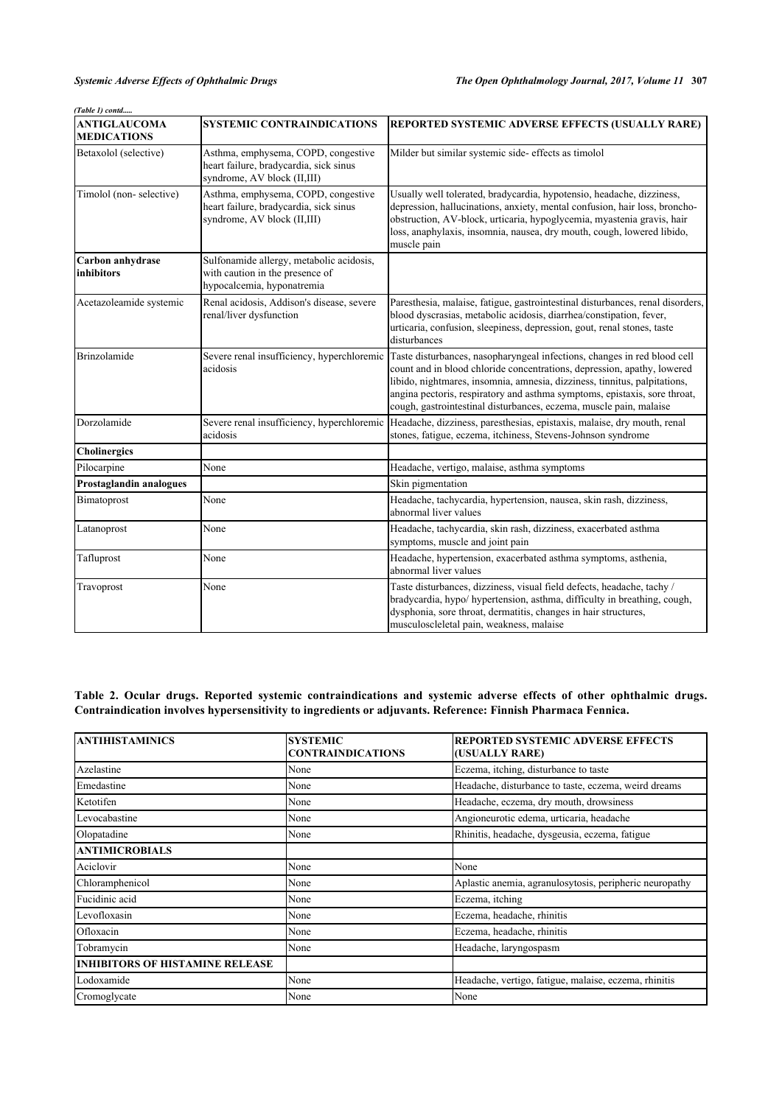*(Table 1) contd.....*

| <b>ANTIGLAUCOMA</b><br><b>MEDICATIONS</b> | <b>SYSTEMIC CONTRAINDICATIONS</b>                                                                            | REPORTED SYSTEMIC ADVERSE EFFECTS (USUALLY RARE)                                                                                                                                                                                                                                                                                                                                                                               |
|-------------------------------------------|--------------------------------------------------------------------------------------------------------------|--------------------------------------------------------------------------------------------------------------------------------------------------------------------------------------------------------------------------------------------------------------------------------------------------------------------------------------------------------------------------------------------------------------------------------|
| Betaxolol (selective)                     | Asthma, emphysema, COPD, congestive<br>heart failure, bradycardia, sick sinus<br>syndrome, AV block (II,III) | Milder but similar systemic side-effects as timolol                                                                                                                                                                                                                                                                                                                                                                            |
| Timolol (non-selective)                   | Asthma, emphysema, COPD, congestive<br>heart failure, bradycardia, sick sinus<br>syndrome, AV block (II,III) | Usually well tolerated, bradycardia, hypotensio, headache, dizziness,<br>depression, hallucinations, anxiety, mental confusion, hair loss, broncho-<br>obstruction, AV-block, urticaria, hypoglycemia, myastenia gravis, hair<br>loss, anaphylaxis, insomnia, nausea, dry mouth, cough, lowered libido,<br>muscle pain                                                                                                         |
| Carbon anhydrase<br>inhibitors            | Sulfonamide allergy, metabolic acidosis,<br>with caution in the presence of<br>hypocalcemia, hyponatremia    |                                                                                                                                                                                                                                                                                                                                                                                                                                |
| Acetazoleamide systemic                   | Renal acidosis, Addison's disease, severe<br>renal/liver dysfunction                                         | Paresthesia, malaise, fatigue, gastrointestinal disturbances, renal disorders,<br>blood dyscrasias, metabolic acidosis, diarrhea/constipation, fever,<br>urticaria, confusion, sleepiness, depression, gout, renal stones, taste<br>disturbances                                                                                                                                                                               |
| Brinzolamide                              | acidosis                                                                                                     | Severe renal insufficiency, hyperchloremic Taste disturbances, nasopharyngeal infections, changes in red blood cell<br>count and in blood chloride concentrations, depression, apathy, lowered<br>libido, nightmares, insomnia, amnesia, dizziness, tinnitus, palpitations,<br>angina pectoris, respiratory and asthma symptoms, epistaxis, sore throat,<br>cough, gastrointestinal disturbances, eczema, muscle pain, malaise |
| Dorzolamide                               | acidosis                                                                                                     | Severe renal insufficiency, hyperchloremic Headache, dizziness, paresthesias, epistaxis, malaise, dry mouth, renal<br>stones, fatigue, eczema, itchiness, Stevens-Johnson syndrome                                                                                                                                                                                                                                             |
| Cholinergics                              |                                                                                                              |                                                                                                                                                                                                                                                                                                                                                                                                                                |
| Pilocarpine                               | None                                                                                                         | Headache, vertigo, malaise, asthma symptoms                                                                                                                                                                                                                                                                                                                                                                                    |
| Prostaglandin analogues                   |                                                                                                              | Skin pigmentation                                                                                                                                                                                                                                                                                                                                                                                                              |
| Bimatoprost                               | None                                                                                                         | Headache, tachycardia, hypertension, nausea, skin rash, dizziness,<br>abnormal liver values                                                                                                                                                                                                                                                                                                                                    |
| Latanoprost                               | None                                                                                                         | Headache, tachycardia, skin rash, dizziness, exacerbated asthma<br>symptoms, muscle and joint pain                                                                                                                                                                                                                                                                                                                             |
| Tafluprost                                | None                                                                                                         | Headache, hypertension, exacerbated asthma symptoms, asthenia,<br>abnormal liver values                                                                                                                                                                                                                                                                                                                                        |
| Travoprost                                | None                                                                                                         | Taste disturbances, dizziness, visual field defects, headache, tachy /<br>bradycardia, hypo/ hypertension, asthma, difficulty in breathing, cough,<br>dysphonia, sore throat, dermatitis, changes in hair structures,<br>musculoscleletal pain, weakness, malaise                                                                                                                                                              |

<span id="page-2-0"></span>**Table 2. Ocular drugs. Reported systemic contraindications and systemic adverse effects of other ophthalmic drugs. Contraindication involves hypersensitivity to ingredients or adjuvants. Reference: Finnish Pharmaca Fennica.**

| <b>ANTIHISTAMINICS</b>                 | <b>SYSTEMIC</b><br><b>CONTRAINDICATIONS</b> | <b>REPORTED SYSTEMIC ADVERSE EFFECTS</b><br>(USUALLY RARE) |
|----------------------------------------|---------------------------------------------|------------------------------------------------------------|
| Azelastine                             | None                                        | Eczema, itching, disturbance to taste                      |
| Emedastine                             | None                                        | Headache, disturbance to taste, eczema, weird dreams       |
| Ketotifen                              | None                                        | Headache, eczema, dry mouth, drowsiness                    |
| Levocabastine                          | None                                        | Angioneurotic edema, urticaria, headache                   |
| Olopatadine                            | None                                        | Rhinitis, headache, dysgeusia, eczema, fatigue             |
| <b>ANTIMICROBIALS</b>                  |                                             |                                                            |
| Aciclovir                              | None                                        | None                                                       |
| Chloramphenicol                        | None                                        | Aplastic anemia, agranulosytosis, peripheric neuropathy    |
| Fucidinic acid                         | None                                        | Eczema, itching                                            |
| Levofloxasin                           | None                                        | Eczema, headache, rhinitis                                 |
| Ofloxacin                              | None                                        | Eczema, headache, rhinitis                                 |
| Tobramycin                             | None                                        | Headache, laryngospasm                                     |
| <b>INHIBITORS OF HISTAMINE RELEASE</b> |                                             |                                                            |
| Lodoxamide                             | None                                        | Headache, vertigo, fatigue, malaise, eczema, rhinitis      |
| Cromoglycate                           | None                                        | None                                                       |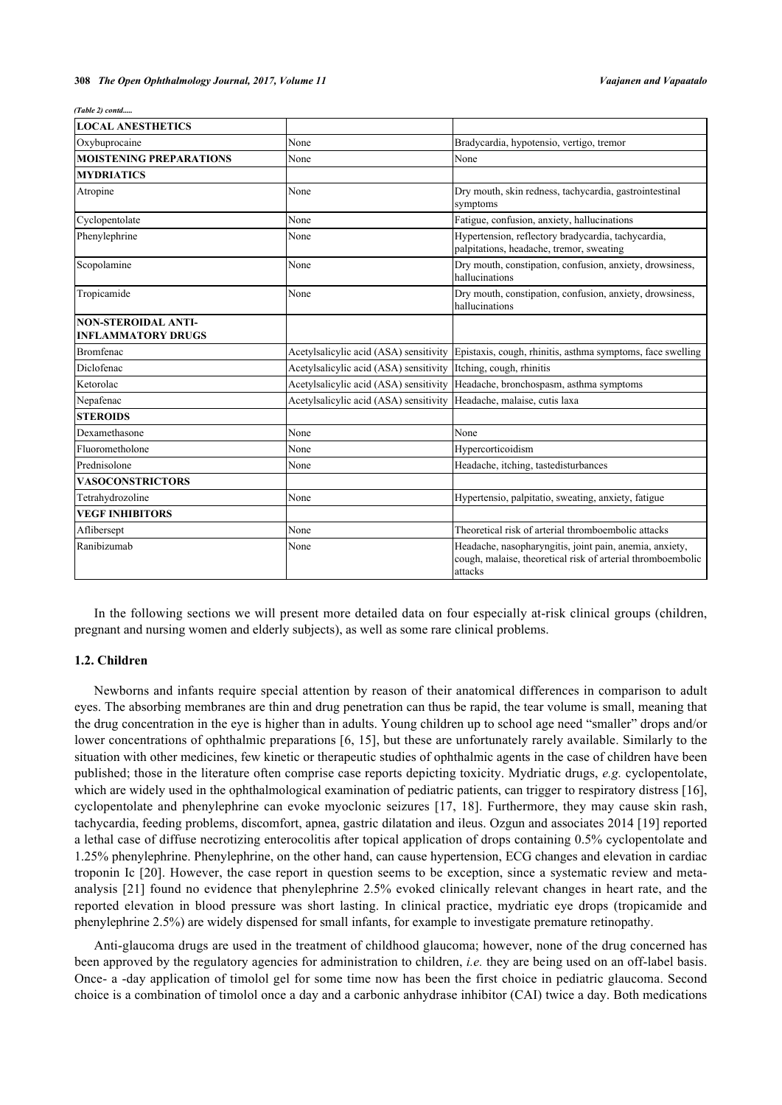| (Table 2) contd |  |
|-----------------|--|
|-----------------|--|

| <b>LOCAL ANESTHETICS</b>                                |                                        |                                                                                                                                   |
|---------------------------------------------------------|----------------------------------------|-----------------------------------------------------------------------------------------------------------------------------------|
| Oxybuprocaine                                           | None                                   | Bradycardia, hypotensio, vertigo, tremor                                                                                          |
| <b>MOISTENING PREPARATIONS</b>                          | None                                   | None                                                                                                                              |
| <b>MYDRIATICS</b>                                       |                                        |                                                                                                                                   |
| Atropine                                                | None                                   | Dry mouth, skin redness, tachycardia, gastrointestinal<br>symptoms                                                                |
| Cyclopentolate                                          | None                                   | Fatigue, confusion, anxiety, hallucinations                                                                                       |
| Phenylephrine                                           | None                                   | Hypertension, reflectory bradycardia, tachycardia,<br>palpitations, headache, tremor, sweating                                    |
| Scopolamine                                             | None                                   | Dry mouth, constipation, confusion, anxiety, drowsiness,<br>hallucinations                                                        |
| Tropicamide                                             | None                                   | Dry mouth, constipation, confusion, anxiety, drowsiness,<br>hallucinations                                                        |
| <b>NON-STEROIDAL ANTI-</b><br><b>INFLAMMATORY DRUGS</b> |                                        |                                                                                                                                   |
| Bromfenac                                               | Acetylsalicylic acid (ASA) sensitivity | Epistaxis, cough, rhinitis, asthma symptoms, face swelling                                                                        |
| Diclofenac                                              | Acetylsalicylic acid (ASA) sensitivity | Itching, cough, rhinitis                                                                                                          |
| Ketorolac                                               | Acetylsalicylic acid (ASA) sensitivity | Headache, bronchospasm, asthma symptoms                                                                                           |
| Nepafenac                                               | Acetylsalicylic acid (ASA) sensitivity | Headache, malaise, cutis laxa                                                                                                     |
| <b>STEROIDS</b>                                         |                                        |                                                                                                                                   |
| Dexamethasone                                           | None                                   | None                                                                                                                              |
| Fluorometholone                                         | None                                   | Hypercorticoidism                                                                                                                 |
| Prednisolone                                            | None                                   | Headache, itching, tastedisturbances                                                                                              |
| <b>VASOCONSTRICTORS</b>                                 |                                        |                                                                                                                                   |
| Tetrahydrozoline                                        | None                                   | Hypertensio, palpitatio, sweating, anxiety, fatigue                                                                               |
| <b>VEGF INHIBITORS</b>                                  |                                        |                                                                                                                                   |
| Aflibersept                                             | None                                   | Theoretical risk of arterial thromboembolic attacks                                                                               |
| Ranibizumab                                             | None                                   | Headache, nasopharyngitis, joint pain, anemia, anxiety,<br>cough, malaise, theoretical risk of arterial thromboembolic<br>attacks |

In the following sections we will present more detailed data on four especially at-risk clinical groups (children, pregnant and nursing women and elderly subjects), as well as some rare clinical problems.

### **1.2. Children**

Newborns and infants require special attention by reason of their anatomical differences in comparison to adult eyes. The absorbing membranes are thin and drug penetration can thus be rapid, the tear volume is small, meaning that the drug concentration in the eye is higher than in adults. Young children up to school age need "smaller" drops and/or lower concentrations of ophthalmic preparations [\[6](#page-7-2), [15](#page-7-11)], but these are unfortunately rarely available. Similarly to the situation with other medicines, few kinetic or therapeutic studies of ophthalmic agents in the case of children have been published; those in the literature often comprise case reports depicting toxicity. Mydriatic drugs, *e.g.* cyclopentolate, which are widely used in the ophthalmological examination of pediatric patients, can trigger to respiratory distress [[16\]](#page-7-12), cyclopentolate and phenylephrine can evoke myoclonic seizures [[17,](#page-7-13) [18](#page-7-14)]. Furthermore, they may cause skin rash, tachycardia, feeding problems, discomfort, apnea, gastric dilatation and ileus. Ozgun and associates 2014 [[19](#page-7-15)] reported a lethal case of diffuse necrotizing enterocolitis after topical application of drops containing 0.5% cyclopentolate and 1.25% phenylephrine. Phenylephrine, on the other hand, can cause hypertension, ECG changes and elevation in cardiac troponin Ic [[20\]](#page-7-16). However, the case report in question seems to be exception, since a systematic review and metaanalysis [[21](#page-7-17)] found no evidence that phenylephrine 2.5% evoked clinically relevant changes in heart rate, and the reported elevation in blood pressure was short lasting. In clinical practice, mydriatic eye drops (tropicamide and phenylephrine 2.5%) are widely dispensed for small infants, for example to investigate premature retinopathy.

Anti-glaucoma drugs are used in the treatment of childhood glaucoma; however, none of the drug concerned has been approved by the regulatory agencies for administration to children, *i.e.* they are being used on an off-label basis. Once- a -day application of timolol gel for some time now has been the first choice in pediatric glaucoma. Second choice is a combination of timolol once a day and a carbonic anhydrase inhibitor (CAI) twice a day. Both medications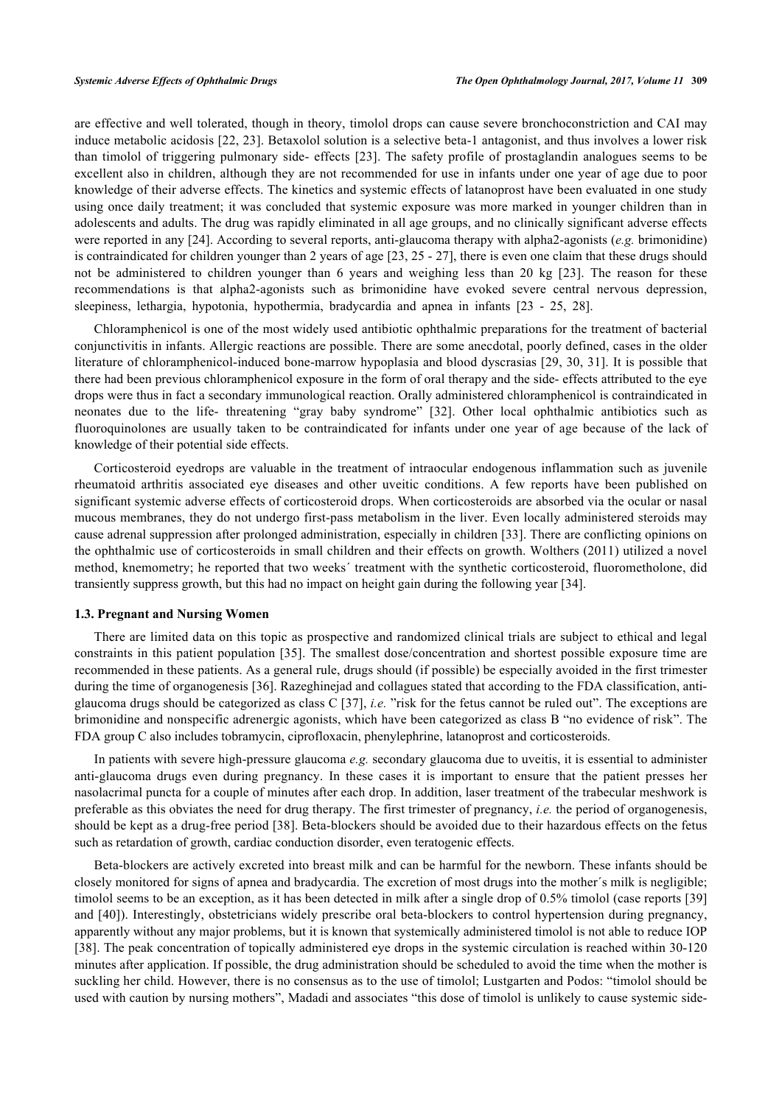are effective and well tolerated, though in theory, timolol drops can cause severe bronchoconstriction and CAI may induce metabolic acidosis [\[22,](#page-7-18) [23](#page-7-19)]. Betaxolol solution is a selective beta-1 antagonist, and thus involves a lower risk than timolol of triggering pulmonary side- effects [[23\]](#page-7-19). The safety profile of prostaglandin analogues seems to be excellent also in children, although they are not recommended for use in infants under one year of age due to poor knowledge of their adverse effects. The kinetics and systemic effects of latanoprost have been evaluated in one study using once daily treatment; it was concluded that systemic exposure was more marked in younger children than in adolescents and adults. The drug was rapidly eliminated in all age groups, and no clinically significant adverse effects were reported in any [\[24](#page-7-20)]. According to several reports, anti-glaucoma therapy with alpha2-agonists (*e.g.* brimonidine) is contraindicated for children younger than 2 years of age [\[23](#page-7-19), [25](#page-8-0) - [27\]](#page-8-1), there is even one claim that these drugs should not be administered to children younger than 6 years and weighing less than 20 kg[[23](#page-7-19)]. The reason for these recommendations is that alpha2-agonists such as brimonidine have evoked severe central nervous depression, sleepiness, lethargia, hypotonia, hypothermia, bradycardia and apnea in infants[[23](#page-7-19) - [25,](#page-8-0) [28\]](#page-8-2).

Chloramphenicol is one of the most widely used antibiotic ophthalmic preparations for the treatment of bacterial conjunctivitis in infants. Allergic reactions are possible. There are some anecdotal, poorly defined, cases in the older literature of chloramphenicol-induced bone-marrow hypoplasia and blood dyscrasias [\[29,](#page-8-3) [30,](#page-8-4) [31\]](#page-8-5). It is possible that there had been previous chloramphenicol exposure in the form of oral therapy and the side- effects attributed to the eye drops were thus in fact a secondary immunological reaction. Orally administered chloramphenicol is contraindicated in neonates due to the life- threatening "gray baby syndrome"[[32\]](#page-8-6). Other local ophthalmic antibiotics such as fluoroquinolones are usually taken to be contraindicated for infants under one year of age because of the lack of knowledge of their potential side effects.

Corticosteroid eyedrops are valuable in the treatment of intraocular endogenous inflammation such as juvenile rheumatoid arthritis associated eye diseases and other uveitic conditions. A few reports have been published on significant systemic adverse effects of corticosteroid drops. When corticosteroids are absorbed via the ocular or nasal mucous membranes, they do not undergo first-pass metabolism in the liver. Even locally administered steroids may cause adrenal suppression after prolonged administration, especially in children [[33](#page-8-7)]. There are conflicting opinions on the ophthalmic use of corticosteroids in small children and their effects on growth. Wolthers (2011) utilized a novel method, knemometry; he reported that two weeks´ treatment with the synthetic corticosteroid, fluorometholone, did transiently suppress growth, but this had no impact on height gain during the following year [[34\]](#page-8-8).

#### **1.3. Pregnant and Nursing Women**

There are limited data on this topic as prospective and randomized clinical trials are subject to ethical and legal constraints in this patient population [[35\]](#page-8-9). The smallest dose/concentration and shortest possible exposure time are recommended in these patients. As a general rule, drugs should (if possible) be especially avoided in the first trimester during the time of organogenesis [\[36](#page-8-10)]. Razeghinejad and collagues stated that according to the FDA classification, antiglaucoma drugs should be categorized as class C [\[37](#page-8-11)], *i.e.* "risk for the fetus cannot be ruled out". The exceptions are brimonidine and nonspecific adrenergic agonists, which have been categorized as class B "no evidence of risk". The FDA group C also includes tobramycin, ciprofloxacin, phenylephrine, latanoprost and corticosteroids.

In patients with severe high-pressure glaucoma *e.g.* secondary glaucoma due to uveitis, it is essential to administer anti-glaucoma drugs even during pregnancy. In these cases it is important to ensure that the patient presses her nasolacrimal puncta for a couple of minutes after each drop. In addition, laser treatment of the trabecular meshwork is preferable as this obviates the need for drug therapy. The first trimester of pregnancy, *i.e.* the period of organogenesis, should be kept as a drug-free period [[38](#page-8-12)]. Beta-blockers should be avoided due to their hazardous effects on the fetus such as retardation of growth, cardiac conduction disorder, even teratogenic effects.

Beta-blockers are actively excreted into breast milk and can be harmful for the newborn. These infants should be closely monitored for signs of apnea and bradycardia. The excretion of most drugs into the mother´s milk is negligible; timolol seems to be an exception, as it has been detected in milk after a single drop of 0.5% timolol (case reports [[39](#page-8-13)] and [\[40](#page-8-14)]). Interestingly, obstetricians widely prescribe oral beta-blockers to control hypertension during pregnancy, apparently without any major problems, but it is known that systemically administered timolol is not able to reduce IOP [\[38](#page-8-12)]. The peak concentration of topically administered eye drops in the systemic circulation is reached within 30-120 minutes after application. If possible, the drug administration should be scheduled to avoid the time when the mother is suckling her child. However, there is no consensus as to the use of timolol; Lustgarten and Podos: "timolol should be used with caution by nursing mothers", Madadi and associates "this dose of timolol is unlikely to cause systemic side-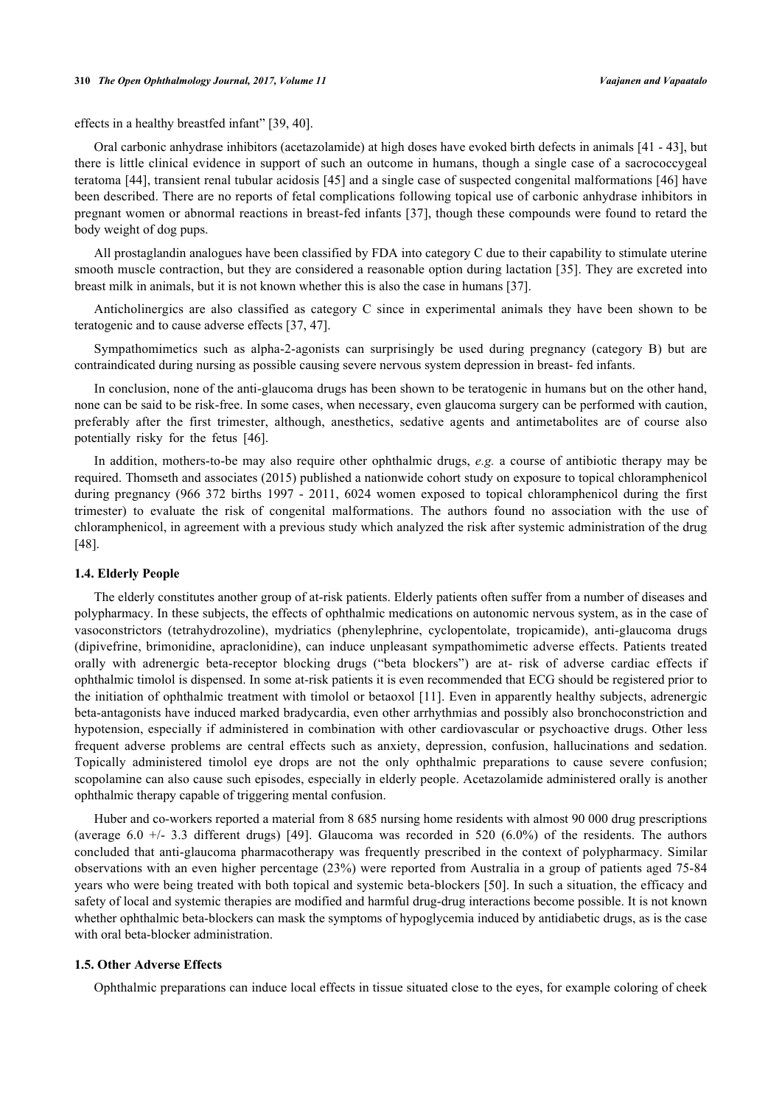#### **310** *The Open Ophthalmology Journal, 2017, Volume 11 Vaajanen and Vapaatalo*

effects in a healthy breastfed infant" [[39,](#page-8-13) [40\]](#page-8-14).

Oral carbonic anhydrase inhibitors (acetazolamide) at high doses have evoked birth defects in animals [[41](#page-8-15) - [43](#page-8-16)], but there is little clinical evidence in support of such an outcome in humans, though a single case of a sacrococcygeal teratoma [[44\]](#page-8-17), transient renal tubular acidosis [[45\]](#page-8-18) and a single case of suspected congenital malformations [[46](#page-8-19)] have been described. There are no reports of fetal complications following topical use of carbonic anhydrase inhibitors in pregnant women or abnormal reactions in breast-fed infants [\[37\]](#page-8-11), though these compounds were found to retard the body weight of dog pups.

All prostaglandin analogues have been classified by FDA into category C due to their capability to stimulate uterine smooth muscle contraction, but they are considered a reasonable option during lactation [[35\]](#page-8-9). They are excreted into breast milk in animals, but it is not known whether this is also the case in humans [[37\]](#page-8-11).

Anticholinergics are also classified as category C since in experimental animals they have been shown to be teratogenic and to cause adverse effects [\[37](#page-8-11), [47](#page-8-20)].

Sympathomimetics such as alpha-2-agonists can surprisingly be used during pregnancy (category B) but are contraindicated during nursing as possible causing severe nervous system depression in breast- fed infants.

In conclusion, none of the anti-glaucoma drugs has been shown to be teratogenic in humans but on the other hand, none can be said to be risk-free. In some cases, when necessary, even glaucoma surgery can be performed with caution, preferably after the first trimester, although, anesthetics, sedative agents and antimetabolites are of course also potentially risky for the fetus[[46\]](#page-8-19).

In addition, mothers-to-be may also require other ophthalmic drugs, *e.g.* a course of antibiotic therapy may be required. Thomseth and associates (2015) published a nationwide cohort study on exposure to topical chloramphenicol during pregnancy (966 372 births 1997 - 2011, 6024 women exposed to topical chloramphenicol during the first trimester) to evaluate the risk of congenital malformations. The authors found no association with the use of chloramphenicol, in agreement with a previous study which analyzed the risk after systemic administration of the drug [\[48](#page-9-0)].

#### **1.4. Elderly People**

The elderly constitutes another group of at-risk patients. Elderly patients often suffer from a number of diseases and polypharmacy. In these subjects, the effects of ophthalmic medications on autonomic nervous system, as in the case of vasoconstrictors (tetrahydrozoline), mydriatics (phenylephrine, cyclopentolate, tropicamide), anti-glaucoma drugs (dipivefrine, brimonidine, apraclonidine), can induce unpleasant sympathomimetic adverse effects. Patients treated orally with adrenergic beta-receptor blocking drugs ("beta blockers") are at- risk of adverse cardiac effects if ophthalmic timolol is dispensed. In some at-risk patients it is even recommended that ECG should be registered prior to the initiation of ophthalmic treatment with timolol or betaoxol [[11\]](#page-7-7). Even in apparently healthy subjects, adrenergic beta-antagonists have induced marked bradycardia, even other arrhythmias and possibly also bronchoconstriction and hypotension, especially if administered in combination with other cardiovascular or psychoactive drugs. Other less frequent adverse problems are central effects such as anxiety, depression, confusion, hallucinations and sedation. Topically administered timolol eye drops are not the only ophthalmic preparations to cause severe confusion; scopolamine can also cause such episodes, especially in elderly people. Acetazolamide administered orally is another ophthalmic therapy capable of triggering mental confusion.

Huber and co-workers reported a material from 8 685 nursing home residents with almost 90 000 drug prescriptions (average 6.0 +/- 3.3 different drugs)[[49\]](#page-9-1). Glaucoma was recorded in 520 (6.0%) of the residents. The authors concluded that anti-glaucoma pharmacotherapy was frequently prescribed in the context of polypharmacy. Similar observations with an even higher percentage (23%) were reported from Australia in a group of patients aged 75-84 years who were being treated with both topical and systemic beta-blockers [[50](#page-9-2)]. In such a situation, the efficacy and safety of local and systemic therapies are modified and harmful drug-drug interactions become possible. It is not known whether ophthalmic beta-blockers can mask the symptoms of hypoglycemia induced by antidiabetic drugs, as is the case with oral beta-blocker administration.

#### **1.5. Other Adverse Effects**

Ophthalmic preparations can induce local effects in tissue situated close to the eyes, for example coloring of cheek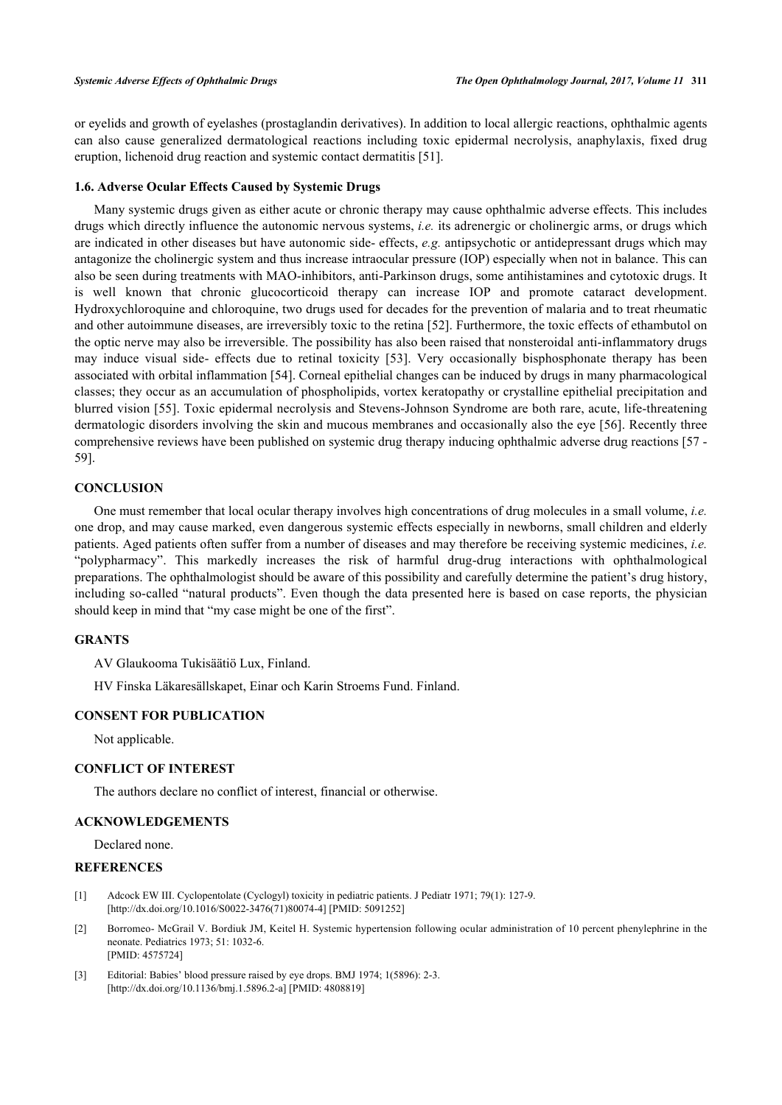or eyelids and growth of eyelashes (prostaglandin derivatives). In addition to local allergic reactions, ophthalmic agents can also cause generalized dermatological reactions including toxic epidermal necrolysis, anaphylaxis, fixed drug eruption, lichenoid drug reaction and systemic contact dermatitis [[51\]](#page-9-3).

#### **1.6. Adverse Ocular Effects Caused by Systemic Drugs**

Many systemic drugs given as either acute or chronic therapy may cause ophthalmic adverse effects. This includes drugs which directly influence the autonomic nervous systems, *i.e.* its adrenergic or cholinergic arms, or drugs which are indicated in other diseases but have autonomic side- effects, *e.g.* antipsychotic or antidepressant drugs which may antagonize the cholinergic system and thus increase intraocular pressure (IOP) especially when not in balance. This can also be seen during treatments with MAO-inhibitors, anti-Parkinson drugs, some antihistamines and cytotoxic drugs. It is well known that chronic glucocorticoid therapy can increase IOP and promote cataract development. Hydroxychloroquine and chloroquine, two drugs used for decades for the prevention of malaria and to treat rheumatic and other autoimmune diseases, are irreversibly toxic to the retina [[52\]](#page-9-4). Furthermore, the toxic effects of ethambutol on the optic nerve may also be irreversible. The possibility has also been raised that nonsteroidal anti-inflammatory drugs may induce visual side- effects due to retinal toxicity[[53](#page-9-5)]. Very occasionally bisphosphonate therapy has been associated with orbital inflammation [\[54](#page-9-6)]. Corneal epithelial changes can be induced by drugs in many pharmacological classes; they occur as an accumulation of phospholipids, vortex keratopathy or crystalline epithelial precipitation and blurred vision [[55](#page-9-7)]. Toxic epidermal necrolysis and Stevens-Johnson Syndrome are both rare, acute, life-threatening dermatologic disorders involving the skin and mucous membranes and occasionally also the eye [[56](#page-9-8)]. Recently three comprehensive reviews have been published on systemic drug therapy inducing ophthalmic adverse drug reactions [[57](#page-9-9) - [59\]](#page-9-10).

# **CONCLUSION**

One must remember that local ocular therapy involves high concentrations of drug molecules in a small volume, *i.e.* one drop, and may cause marked, even dangerous systemic effects especially in newborns, small children and elderly patients. Aged patients often suffer from a number of diseases and may therefore be receiving systemic medicines, *i.e.* "polypharmacy". This markedly increases the risk of harmful drug-drug interactions with ophthalmological preparations. The ophthalmologist should be aware of this possibility and carefully determine the patient's drug history, including so-called "natural products". Even though the data presented here is based on case reports, the physician should keep in mind that "my case might be one of the first".

#### **GRANTS**

AV Glaukooma Tukisäätiö Lux, Finland.

HV Finska Läkaresällskapet, Einar och Karin Stroems Fund. Finland.

### **CONSENT FOR PUBLICATION**

Not applicable.

## **CONFLICT OF INTEREST**

The authors declare no conflict of interest, financial or otherwise.

### **ACKNOWLEDGEMENTS**

Declared none.

# **REFERENCES**

- <span id="page-6-0"></span>[1] Adcock EW III. Cyclopentolate (Cyclogyl) toxicity in pediatric patients. J Pediatr 1971; 79(1): 127-9. [\[http://dx.doi.org/10.1016/S0022-3476\(71\)80074-4\]](http://dx.doi.org/10.1016/S0022-3476(71)80074-4) [PMID: [5091252](http://www.ncbi.nlm.nih.gov/pubmed/5091252)]
- <span id="page-6-1"></span>[2] Borromeo- McGrail V. Bordiuk JM, Keitel H. Systemic hypertension following ocular administration of 10 percent phenylephrine in the neonate. Pediatrics 1973; 51: 1032-6. [PMID: [4575724\]](http://www.ncbi.nlm.nih.gov/pubmed/4575724)
- <span id="page-6-2"></span>[3] Editorial: Babies' blood pressure raised by eye drops. BMJ 1974; 1(5896): 2-3. [\[http://dx.doi.org/10.1136/bmj.1.5896.2-a](http://dx.doi.org/10.1136/bmj.1.5896.2-a)] [PMID: [4808819](http://www.ncbi.nlm.nih.gov/pubmed/4808819)]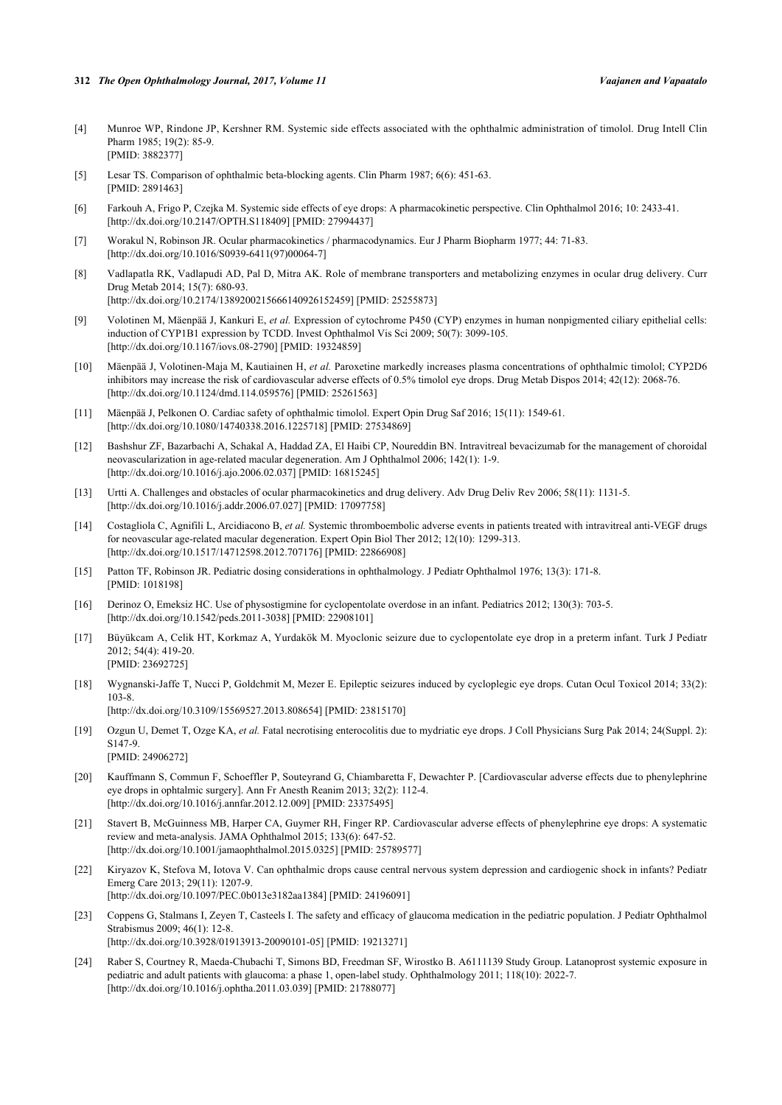- <span id="page-7-0"></span>[4] Munroe WP, Rindone JP, Kershner RM. Systemic side effects associated with the ophthalmic administration of timolol. Drug Intell Clin Pharm 1985; 19(2): 85-9. [PMID: [3882377\]](http://www.ncbi.nlm.nih.gov/pubmed/3882377)
- <span id="page-7-1"></span>[5] Lesar TS. Comparison of ophthalmic beta-blocking agents. Clin Pharm 1987; 6(6): 451-63. [PMID: [2891463\]](http://www.ncbi.nlm.nih.gov/pubmed/2891463)
- <span id="page-7-2"></span>[6] Farkouh A, Frigo P, Czejka M. Systemic side effects of eye drops: A pharmacokinetic perspective. Clin Ophthalmol 2016; 10: 2433-41. [\[http://dx.doi.org/10.2147/OPTH.S118409](http://dx.doi.org/10.2147/OPTH.S118409)] [PMID: [27994437\]](http://www.ncbi.nlm.nih.gov/pubmed/27994437)
- <span id="page-7-3"></span>[7] Worakul N, Robinson JR. Ocular pharmacokinetics / pharmacodynamics. Eur J Pharm Biopharm 1977; 44: 71-83. [\[http://dx.doi.org/10.1016/S0939-6411\(97\)00064-7\]](http://dx.doi.org/10.1016/S0939-6411(97)00064-7)
- <span id="page-7-4"></span>[8] Vadlapatla RK, Vadlapudi AD, Pal D, Mitra AK. Role of membrane transporters and metabolizing enzymes in ocular drug delivery. Curr Drug Metab 2014; 15(7): 680-93. [\[http://dx.doi.org/10.2174/1389200215666140926152459\]](http://dx.doi.org/10.2174/1389200215666140926152459) [PMID: [25255873](http://www.ncbi.nlm.nih.gov/pubmed/25255873)]
- <span id="page-7-5"></span>[9] Volotinen M, Mäenpää J, Kankuri E, *et al.* Expression of cytochrome P450 (CYP) enzymes in human nonpigmented ciliary epithelial cells: induction of CYP1B1 expression by TCDD. Invest Ophthalmol Vis Sci 2009; 50(7): 3099-105. [\[http://dx.doi.org/10.1167/iovs.08-2790\]](http://dx.doi.org/10.1167/iovs.08-2790) [PMID: [19324859](http://www.ncbi.nlm.nih.gov/pubmed/19324859)]
- <span id="page-7-6"></span>[10] Mäenpää J, Volotinen-Maja M, Kautiainen H, *et al.* Paroxetine markedly increases plasma concentrations of ophthalmic timolol; CYP2D6 inhibitors may increase the risk of cardiovascular adverse effects of 0.5% timolol eye drops. Drug Metab Dispos 2014; 42(12): 2068-76. [\[http://dx.doi.org/10.1124/dmd.114.059576](http://dx.doi.org/10.1124/dmd.114.059576)] [PMID: [25261563\]](http://www.ncbi.nlm.nih.gov/pubmed/25261563)
- <span id="page-7-7"></span>[11] Mäenpää J, Pelkonen O. Cardiac safety of ophthalmic timolol. Expert Opin Drug Saf 2016; 15(11): 1549-61. [\[http://dx.doi.org/10.1080/14740338.2016.1225718\]](http://dx.doi.org/10.1080/14740338.2016.1225718) [PMID: [27534869](http://www.ncbi.nlm.nih.gov/pubmed/27534869)]
- <span id="page-7-8"></span>[12] Bashshur ZF, Bazarbachi A, Schakal A, Haddad ZA, El Haibi CP, Noureddin BN. Intravitreal bevacizumab for the management of choroidal neovascularization in age-related macular degeneration. Am J Ophthalmol 2006; 142(1): 1-9. [\[http://dx.doi.org/10.1016/j.ajo.2006.02.037\]](http://dx.doi.org/10.1016/j.ajo.2006.02.037) [PMID: [16815245](http://www.ncbi.nlm.nih.gov/pubmed/16815245)]
- <span id="page-7-9"></span>[13] Urtti A. Challenges and obstacles of ocular pharmacokinetics and drug delivery. Adv Drug Deliv Rev 2006; 58(11): 1131-5. [\[http://dx.doi.org/10.1016/j.addr.2006.07.027](http://dx.doi.org/10.1016/j.addr.2006.07.027)] [PMID: [17097758\]](http://www.ncbi.nlm.nih.gov/pubmed/17097758)
- <span id="page-7-10"></span>[14] Costagliola C, Agnifili L, Arcidiacono B, *et al.* Systemic thromboembolic adverse events in patients treated with intravitreal anti-VEGF drugs for neovascular age-related macular degeneration. Expert Opin Biol Ther 2012; 12(10): 1299-313. [\[http://dx.doi.org/10.1517/14712598.2012.707176\]](http://dx.doi.org/10.1517/14712598.2012.707176) [PMID: [22866908](http://www.ncbi.nlm.nih.gov/pubmed/22866908)]
- <span id="page-7-11"></span>[15] Patton TF, Robinson JR. Pediatric dosing considerations in ophthalmology. J Pediatr Ophthalmol 1976; 13(3): 171-8. [PMID: [1018198\]](http://www.ncbi.nlm.nih.gov/pubmed/1018198)
- <span id="page-7-12"></span>[16] Derinoz O, Emeksiz HC. Use of physostigmine for cyclopentolate overdose in an infant. Pediatrics 2012; 130(3): 703-5. [\[http://dx.doi.org/10.1542/peds.2011-3038](http://dx.doi.org/10.1542/peds.2011-3038)] [PMID: [22908101\]](http://www.ncbi.nlm.nih.gov/pubmed/22908101)
- <span id="page-7-13"></span>[17] Büyükcam A, Celik HT, Korkmaz A, Yurdakök M. Myoclonic seizure due to cyclopentolate eye drop in a preterm infant. Turk J Pediatr 2012; 54(4): 419-20. [PMID: [23692725\]](http://www.ncbi.nlm.nih.gov/pubmed/23692725)
- <span id="page-7-14"></span>[18] Wygnanski-Jaffe T, Nucci P, Goldchmit M, Mezer E. Epileptic seizures induced by cycloplegic eye drops. Cutan Ocul Toxicol 2014; 33(2): 103-8.
	- [\[http://dx.doi.org/10.3109/15569527.2013.808654\]](http://dx.doi.org/10.3109/15569527.2013.808654) [PMID: [23815170](http://www.ncbi.nlm.nih.gov/pubmed/23815170)]
- <span id="page-7-15"></span>[19] Ozgun U, Demet T, Ozge KA, *et al.* Fatal necrotising enterocolitis due to mydriatic eye drops. J Coll Physicians Surg Pak 2014; 24(Suppl. 2): S147-9.
	- [PMID: [24906272\]](http://www.ncbi.nlm.nih.gov/pubmed/24906272)
- <span id="page-7-16"></span>[20] Kauffmann S, Commun F, Schoeffler P, Souteyrand G, Chiambaretta F, Dewachter P. [Cardiovascular adverse effects due to phenylephrine eye drops in ophtalmic surgery]. Ann Fr Anesth Reanim 2013; 32(2): 112-4. [\[http://dx.doi.org/10.1016/j.annfar.2012.12.009](http://dx.doi.org/10.1016/j.annfar.2012.12.009)] [PMID: [23375495](http://www.ncbi.nlm.nih.gov/pubmed/23375495)]
- <span id="page-7-17"></span>[21] Stavert B, McGuinness MB, Harper CA, Guymer RH, Finger RP. Cardiovascular adverse effects of phenylephrine eye drops: A systematic review and meta-analysis. JAMA Ophthalmol 2015; 133(6): 647-52. [\[http://dx.doi.org/10.1001/jamaophthalmol.2015.0325\]](http://dx.doi.org/10.1001/jamaophthalmol.2015.0325) [PMID: [25789577](http://www.ncbi.nlm.nih.gov/pubmed/25789577)]
- <span id="page-7-18"></span>[22] Kiryazov K, Stefova M, Iotova V. Can ophthalmic drops cause central nervous system depression and cardiogenic shock in infants? Pediatr Emerg Care 2013; 29(11): 1207-9. [\[http://dx.doi.org/10.1097/PEC.0b013e3182aa1384](http://dx.doi.org/10.1097/PEC.0b013e3182aa1384)] [PMID: [24196091\]](http://www.ncbi.nlm.nih.gov/pubmed/24196091)
- <span id="page-7-19"></span>[23] Coppens G, Stalmans I, Zeyen T, Casteels I. The safety and efficacy of glaucoma medication in the pediatric population. J Pediatr Ophthalmol Strabismus 2009; 46(1): 12-8. [\[http://dx.doi.org/10.3928/01913913-20090101-05](http://dx.doi.org/10.3928/01913913-20090101-05)] [PMID: [19213271\]](http://www.ncbi.nlm.nih.gov/pubmed/19213271)
- <span id="page-7-20"></span>[24] Raber S, Courtney R, Maeda-Chubachi T, Simons BD, Freedman SF, Wirostko B. A6111139 Study Group. Latanoprost systemic exposure in pediatric and adult patients with glaucoma: a phase 1, open-label study. Ophthalmology 2011; 118(10): 2022-7. [\[http://dx.doi.org/10.1016/j.ophtha.2011.03.039\]](http://dx.doi.org/10.1016/j.ophtha.2011.03.039) [PMID: [21788077](http://www.ncbi.nlm.nih.gov/pubmed/21788077)]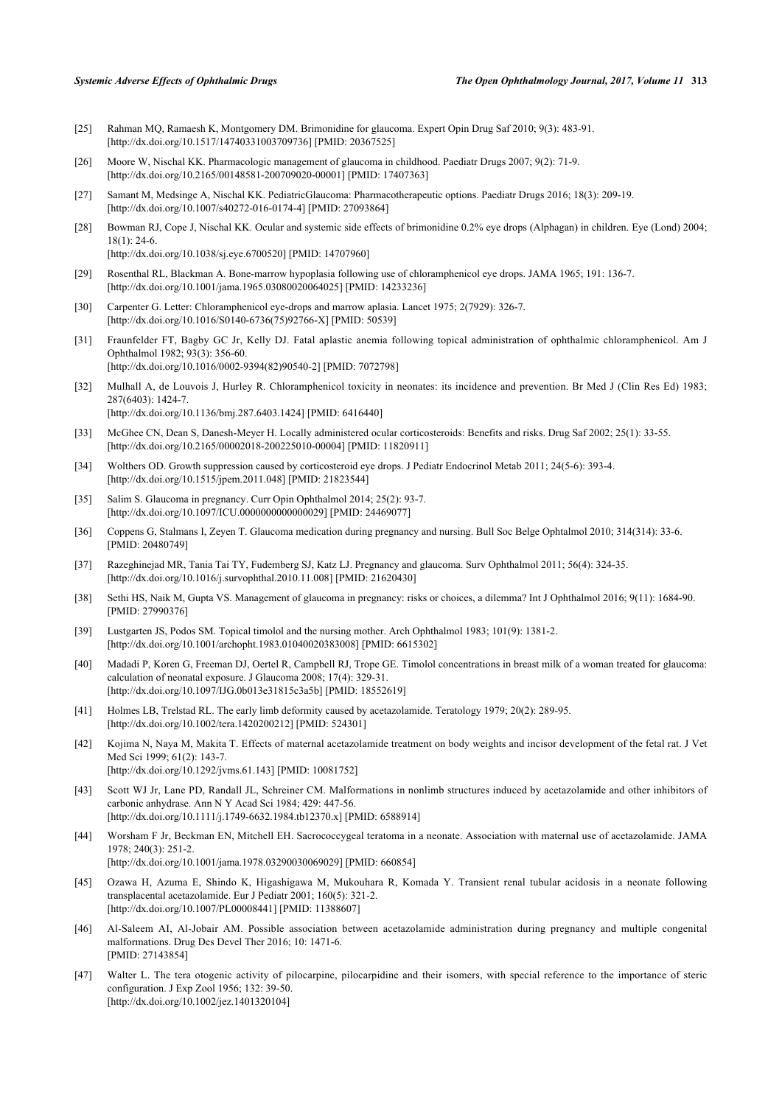- <span id="page-8-0"></span>[25] Rahman MQ, Ramaesh K, Montgomery DM. Brimonidine for glaucoma. Expert Opin Drug Saf 2010; 9(3): 483-91. [\[http://dx.doi.org/10.1517/14740331003709736\]](http://dx.doi.org/10.1517/14740331003709736) [PMID: [20367525](http://www.ncbi.nlm.nih.gov/pubmed/20367525)]
- [26] Moore W, Nischal KK. Pharmacologic management of glaucoma in childhood. Paediatr Drugs 2007; 9(2): 71-9. [\[http://dx.doi.org/10.2165/00148581-200709020-00001](http://dx.doi.org/10.2165/00148581-200709020-00001)] [PMID: [17407363\]](http://www.ncbi.nlm.nih.gov/pubmed/17407363)
- <span id="page-8-1"></span>[27] Samant M, Medsinge A, Nischal KK. PediatricGlaucoma: Pharmacotherapeutic options. Paediatr Drugs 2016; 18(3): 209-19. [\[http://dx.doi.org/10.1007/s40272-016-0174-4\]](http://dx.doi.org/10.1007/s40272-016-0174-4) [PMID: [27093864](http://www.ncbi.nlm.nih.gov/pubmed/27093864)]
- <span id="page-8-2"></span>[28] Bowman RJ, Cope J, Nischal KK. Ocular and systemic side effects of brimonidine 0.2% eye drops (Alphagan) in children. Eye (Lond) 2004; 18(1): 24-6. [\[http://dx.doi.org/10.1038/sj.eye.6700520](http://dx.doi.org/10.1038/sj.eye.6700520)] [PMID: [14707960\]](http://www.ncbi.nlm.nih.gov/pubmed/14707960)
- <span id="page-8-3"></span>[29] Rosenthal RL, Blackman A. Bone-marrow hypoplasia following use of chloramphenicol eye drops. JAMA 1965; 191: 136-7. [\[http://dx.doi.org/10.1001/jama.1965.03080020064025](http://dx.doi.org/10.1001/jama.1965.03080020064025)] [PMID: [14233236\]](http://www.ncbi.nlm.nih.gov/pubmed/14233236)
- <span id="page-8-4"></span>[30] Carpenter G. Letter: Chloramphenicol eye-drops and marrow aplasia. Lancet 1975; 2(7929): 326-7. [\[http://dx.doi.org/10.1016/S0140-6736\(75\)92766-X\]](http://dx.doi.org/10.1016/S0140-6736(75)92766-X) [PMID: [50539](http://www.ncbi.nlm.nih.gov/pubmed/50539)]
- <span id="page-8-5"></span>[31] Fraunfelder FT, Bagby GC Jr, Kelly DJ. Fatal aplastic anemia following topical administration of ophthalmic chloramphenicol. Am J Ophthalmol 1982; 93(3): 356-60. [\[http://dx.doi.org/10.1016/0002-9394\(82\)90540-2](http://dx.doi.org/10.1016/0002-9394(82)90540-2)] [PMID: [7072798](http://www.ncbi.nlm.nih.gov/pubmed/7072798)]
- <span id="page-8-6"></span>[32] Mulhall A, de Louvois J, Hurley R. Chloramphenicol toxicity in neonates: its incidence and prevention. Br Med J (Clin Res Ed) 1983; 287(6403): 1424-7. [\[http://dx.doi.org/10.1136/bmj.287.6403.1424](http://dx.doi.org/10.1136/bmj.287.6403.1424)] [PMID: [6416440\]](http://www.ncbi.nlm.nih.gov/pubmed/6416440)
- <span id="page-8-7"></span>[33] McGhee CN, Dean S, Danesh-Meyer H. Locally administered ocular corticosteroids: Benefits and risks. Drug Saf 2002; 25(1): 33-55. [\[http://dx.doi.org/10.2165/00002018-200225010-00004](http://dx.doi.org/10.2165/00002018-200225010-00004)] [PMID: [11820911\]](http://www.ncbi.nlm.nih.gov/pubmed/11820911)
- <span id="page-8-8"></span>[34] Wolthers OD. Growth suppression caused by corticosteroid eye drops. J Pediatr Endocrinol Metab 2011; 24(5-6): 393-4. [\[http://dx.doi.org/10.1515/jpem.2011.048\]](http://dx.doi.org/10.1515/jpem.2011.048) [PMID: [21823544](http://www.ncbi.nlm.nih.gov/pubmed/21823544)]
- <span id="page-8-9"></span>[35] Salim S. Glaucoma in pregnancy. Curr Opin Ophthalmol 2014; 25(2): 93-7. [\[http://dx.doi.org/10.1097/ICU.0000000000000029\]](http://dx.doi.org/10.1097/ICU.0000000000000029) [PMID: [24469077](http://www.ncbi.nlm.nih.gov/pubmed/24469077)]
- <span id="page-8-10"></span>[36] Coppens G, Stalmans I, Zeyen T. Glaucoma medication during pregnancy and nursing. Bull Soc Belge Ophtalmol 2010; 314(314): 33-6. [PMID: [20480749\]](http://www.ncbi.nlm.nih.gov/pubmed/20480749)
- <span id="page-8-11"></span>[37] Razeghinejad MR, Tania Tai TY, Fudemberg SJ, Katz LJ. Pregnancy and glaucoma. Surv Ophthalmol 2011; 56(4): 324-35. [\[http://dx.doi.org/10.1016/j.survophthal.2010.11.008\]](http://dx.doi.org/10.1016/j.survophthal.2010.11.008) [PMID: [21620430](http://www.ncbi.nlm.nih.gov/pubmed/21620430)]
- <span id="page-8-12"></span>[38] Sethi HS, Naik M, Gupta VS. Management of glaucoma in pregnancy: risks or choices, a dilemma? Int J Ophthalmol 2016; 9(11): 1684-90. [PMID: [27990376\]](http://www.ncbi.nlm.nih.gov/pubmed/27990376)
- <span id="page-8-13"></span>[39] Lustgarten JS, Podos SM. Topical timolol and the nursing mother. Arch Ophthalmol 1983; 101(9): 1381-2. [\[http://dx.doi.org/10.1001/archopht.1983.01040020383008\]](http://dx.doi.org/10.1001/archopht.1983.01040020383008) [PMID: [6615302](http://www.ncbi.nlm.nih.gov/pubmed/6615302)]
- <span id="page-8-14"></span>[40] Madadi P, Koren G, Freeman DJ, Oertel R, Campbell RJ, Trope GE. Timolol concentrations in breast milk of a woman treated for glaucoma: calculation of neonatal exposure. J Glaucoma 2008; 17(4): 329-31. [\[http://dx.doi.org/10.1097/IJG.0b013e31815c3a5b](http://dx.doi.org/10.1097/IJG.0b013e31815c3a5b)] [PMID: [18552619\]](http://www.ncbi.nlm.nih.gov/pubmed/18552619)
- <span id="page-8-15"></span>[41] Holmes LB, Trelstad RL. The early limb deformity caused by acetazolamide. Teratology 1979; 20(2): 289-95. [\[http://dx.doi.org/10.1002/tera.1420200212\]](http://dx.doi.org/10.1002/tera.1420200212) [PMID: [524301](http://www.ncbi.nlm.nih.gov/pubmed/524301)]
- [42] Kojima N, Naya M, Makita T. Effects of maternal acetazolamide treatment on body weights and incisor development of the fetal rat. J Vet Med Sci 1999; 61(2): 143-7. [\[http://dx.doi.org/10.1292/jvms.61.143](http://dx.doi.org/10.1292/jvms.61.143)] [PMID: [10081752\]](http://www.ncbi.nlm.nih.gov/pubmed/10081752)
- <span id="page-8-16"></span>[43] Scott WJ Jr, Lane PD, Randall JL, Schreiner CM. Malformations in nonlimb structures induced by acetazolamide and other inhibitors of carbonic anhydrase. Ann N Y Acad Sci 1984; 429: 447-56. [\[http://dx.doi.org/10.1111/j.1749-6632.1984.tb12370.x\]](http://dx.doi.org/10.1111/j.1749-6632.1984.tb12370.x) [PMID: [6588914](http://www.ncbi.nlm.nih.gov/pubmed/6588914)]
- <span id="page-8-17"></span>[44] Worsham F Jr, Beckman EN, Mitchell EH. Sacrococcygeal teratoma in a neonate. Association with maternal use of acetazolamide. JAMA 1978; 240(3): 251-2. [\[http://dx.doi.org/10.1001/jama.1978.03290030069029](http://dx.doi.org/10.1001/jama.1978.03290030069029)] [PMID: [660854\]](http://www.ncbi.nlm.nih.gov/pubmed/660854)
- <span id="page-8-18"></span>[45] Ozawa H, Azuma E, Shindo K, Higashigawa M, Mukouhara R, Komada Y. Transient renal tubular acidosis in a neonate following transplacental acetazolamide. Eur J Pediatr 2001; 160(5): 321-2. [\[http://dx.doi.org/10.1007/PL00008441](http://dx.doi.org/10.1007/PL00008441)] [PMID: [11388607\]](http://www.ncbi.nlm.nih.gov/pubmed/11388607)
- <span id="page-8-19"></span>[46] Al-Saleem AI, Al-Jobair AM. Possible association between acetazolamide administration during pregnancy and multiple congenital malformations. Drug Des Devel Ther 2016; 10: 1471-6. [PMID: [27143854\]](http://www.ncbi.nlm.nih.gov/pubmed/27143854)
- <span id="page-8-20"></span>[47] Walter L. The tera otogenic activity of pilocarpine, pilocarpidine and their isomers, with special reference to the importance of steric configuration. J Exp Zool 1956; 132: 39-50. [\[http://dx.doi.org/10.1002/jez.1401320104](http://dx.doi.org/10.1002/jez.1401320104)]